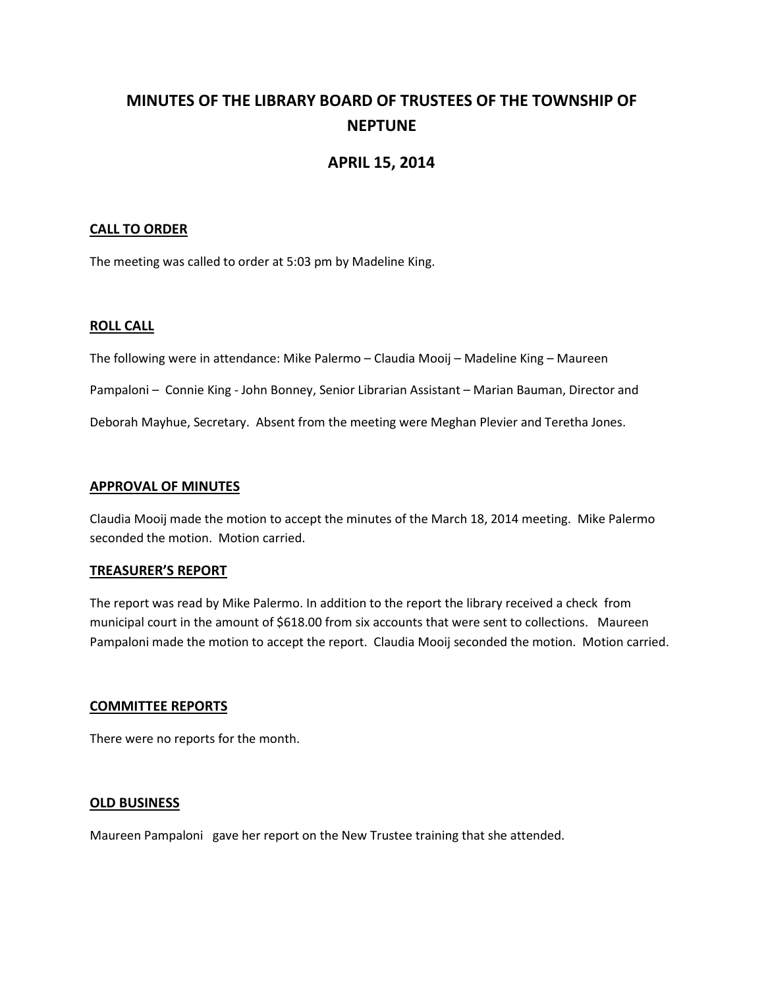# **MINUTES OF THE LIBRARY BOARD OF TRUSTEES OF THE TOWNSHIP OF NEPTUNE**

# **APRIL 15, 2014**

# **CALL TO ORDER**

The meeting was called to order at 5:03 pm by Madeline King.

## **ROLL CALL**

The following were in attendance: Mike Palermo – Claudia Mooij – Madeline King – Maureen

Pampaloni – Connie King - John Bonney, Senior Librarian Assistant – Marian Bauman, Director and

Deborah Mayhue, Secretary. Absent from the meeting were Meghan Plevier and Teretha Jones.

#### **APPROVAL OF MINUTES**

Claudia Mooij made the motion to accept the minutes of the March 18, 2014 meeting. Mike Palermo seconded the motion. Motion carried.

#### **TREASURER'S REPORT**

The report was read by Mike Palermo. In addition to the report the library received a check from municipal court in the amount of \$618.00 from six accounts that were sent to collections. Maureen Pampaloni made the motion to accept the report. Claudia Mooij seconded the motion. Motion carried.

#### **COMMITTEE REPORTS**

There were no reports for the month.

#### **OLD BUSINESS**

Maureen Pampaloni gave her report on the New Trustee training that she attended.